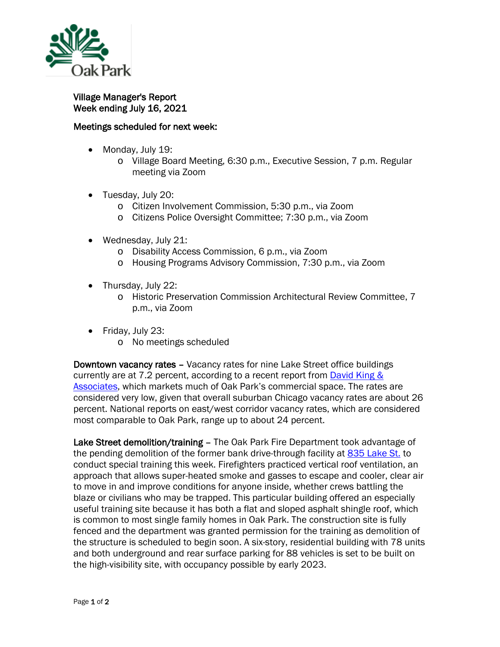

Village Manager's Report Week ending July 16, 2021

## Meetings scheduled for next week:

- Monday, July 19:
	- o Village Board Meeting, 6:30 p.m., Executive Session, 7 p.m. Regular meeting via Zoom
- Tuesday, July 20:
	- o Citizen Involvement Commission, 5:30 p.m., via Zoom
	- o Citizens Police Oversight Committee; 7:30 p.m., via Zoom
- Wednesday, July 21:
	- o Disability Access Commission, 6 p.m., via Zoom
	- o Housing Programs Advisory Commission, 7:30 p.m., via Zoom
- Thursday, July 22:
	- o Historic Preservation Commission Architectural Review Committee, 7 p.m., via Zoom
- Friday, July 23:
	- o No meetings scheduled

Downtown vacancy rates – Vacancy rates for nine Lake Street office buildings currently are at 7.2 percent, according to a recent report from [David King &](https://dkacre.com/)  [Associates,](https://dkacre.com/) which markets much of Oak Park's commercial space. The rates are considered very low, given that overall suburban Chicago vacancy rates are about 26 percent. National reports on east/west corridor vacancy rates, which are considered most comparable to Oak Park, range up to about 24 percent.

Lake Street demolition/training – The Oak Park Fire Department took advantage of the pending demolition of the former bank drive-through facility at [835 Lake St.](https://www.oak-park.us/sites/default/files/planning-documents/lake/2020-10-19-835_lake_street_-_pd_application_for_website.pdf) to conduct special training this week. Firefighters practiced vertical roof ventilation, an approach that allows super-heated smoke and gasses to escape and cooler, clear air to move in and improve conditions for anyone inside, whether crews battling the blaze or civilians who may be trapped. This particular building offered an especially useful training site because it has both a flat and sloped asphalt shingle roof, which is common to most single family homes in Oak Park. The construction site is fully fenced and the department was granted permission for the training as demolition of the structure is scheduled to begin soon. A six-story, residential building with 78 units and both underground and rear surface parking for 88 vehicles is set to be built on the high-visibility site, with occupancy possible by early 2023.